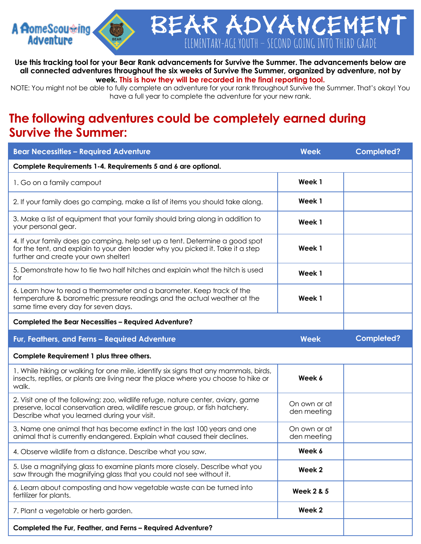ELEMENTARY-AGE YOUTH –SECOND GOING INTO THIRD GRADE

BEAR ADVANCEMENT

**Use this tracking tool for your Bear Rank advancements for Survive the Summer. The advancements below are all connected adventures throughout the six weeks of Survive the Summer, organized by adventure, not by week. This is how they will be recorded in the final reporting tool.** 

NOTE: You might not be able to fully complete an adventure for your rank throughout Survive the Summer. That's okay! You have a full year to complete the adventure for your new rank.

## **The following adventures could be completely earned during Survive the Summer:**

A **AomeScou** ing **Adventure** 

| <b>Bear Necessities - Required Adventure</b>                                                                                                                                                                    | <b>Week</b>                 | <b>Completed?</b> |
|-----------------------------------------------------------------------------------------------------------------------------------------------------------------------------------------------------------------|-----------------------------|-------------------|
| Complete Requirements 1-4. Requirements 5 and 6 are optional.                                                                                                                                                   |                             |                   |
| 1. Go on a family campout                                                                                                                                                                                       | Week 1                      |                   |
| 2. If your family does go camping, make a list of items you should take along.                                                                                                                                  | Week 1                      |                   |
| 3. Make a list of equipment that your family should bring along in addition to<br>your personal gear.                                                                                                           | Week 1                      |                   |
| 4. If your family does go camping, help set up a tent. Determine a good spot<br>for the tent, and explain to your den leader why you picked it. Take it a step<br>further and create your own shelter!          | Week 1                      |                   |
| 5. Demonstrate how to tie two half hitches and explain what the hitch is used<br>for                                                                                                                            | Week 1                      |                   |
| 6. Learn how to read a thermometer and a barometer. Keep track of the<br>temperature & barometric pressure readings and the actual weather at the<br>same time every day for seven days.                        | Week 1                      |                   |
| <b>Completed the Bear Necessities - Required Adventure?</b>                                                                                                                                                     |                             |                   |
| Fur, Feathers, and Ferns - Required Adventure                                                                                                                                                                   | <b>Week</b>                 | <b>Completed?</b> |
| Complete Requirement 1 plus three others.                                                                                                                                                                       |                             |                   |
| 1. While hiking or walking for one mile, identify six signs that any mammals, birds,<br>insects, reptiles, or plants are living near the place where you choose to hike or<br>walk.                             | Week 6                      |                   |
| 2. Visit one of the following: zoo, wildlife refuge, nature center, aviary, game<br>preserve, local conservation area, wildlife rescue group, or fish hatchery.<br>Describe what you learned during your visit. | On own or at<br>den meeting |                   |
| 3. Name one animal that has become extinct in the last 100 years and one<br>animal that is currently endangered. Explain what caused their declines.                                                            | On own or at<br>den meeting |                   |
| 4. Observe wildlife from a distance. Describe what you saw.                                                                                                                                                     | Week 6                      |                   |
| 5. Use a magnifying glass to examine plants more closely. Describe what you<br>saw through the magnifying glass that you could not see without it.                                                              | Week 2                      |                   |
| 6. Learn about composting and how vegetable waste can be turned into<br>fertilizer for plants.                                                                                                                  | <b>Week 2 &amp; 5</b>       |                   |
| 7. Plant a vegetable or herb garden.                                                                                                                                                                            | Week 2                      |                   |
| Completed the Fur, Feather, and Ferns - Required Adventure?                                                                                                                                                     |                             |                   |